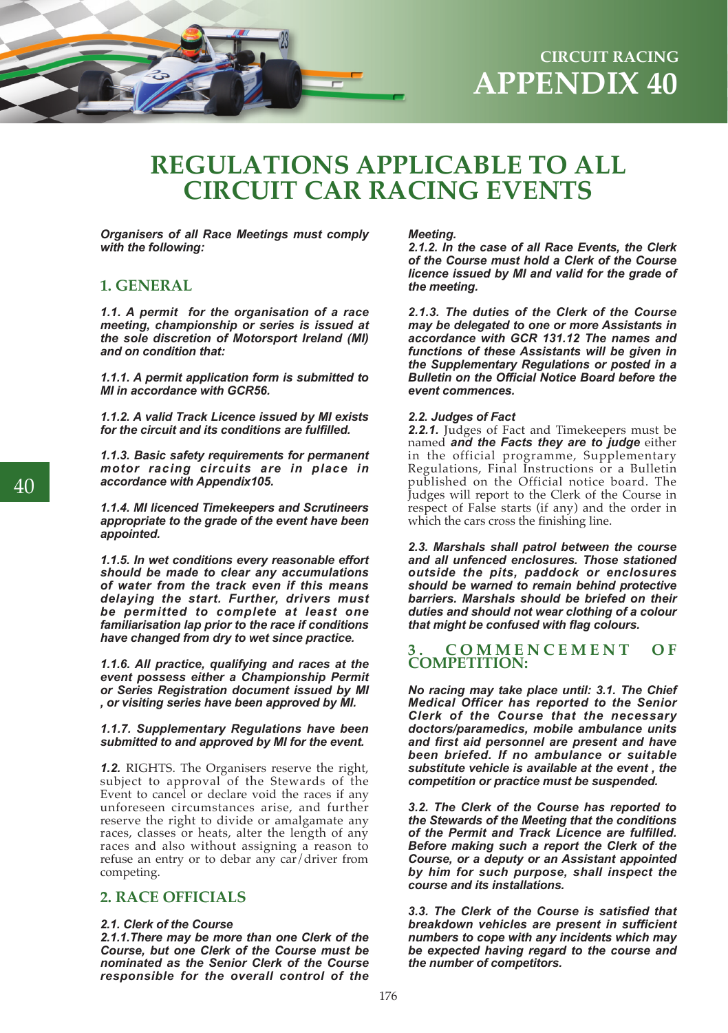

# **REGULATIONS APPLICABLE TO ALL CIRCUIT CAR RACING EVENTS**

*Organisers of all Race Meetings must comply with the following:*

## **1. GENERAL**

*1.1. A permit for the organisation of a race meeting, championship or series is issued at the sole discretion of Motorsport Ireland (MI) and on condition that:*

*1.1.1. A permit application form is submitted to MI in accordance with GCR56.*

*1.1.2. A valid Track Licence issued by MI exists for the circuit and its conditions are fulfilled.*

*1.1.3. Basic safety requirements for permanent motor racing circuits are in place in accordance with Appendix105.*

*1.1.4. MI licenced Timekeepers and Scrutineers appropriate to the grade of the event have been appointed.*

*1.1.5. In wet conditions every reasonable effort should be made to clear any accumulations of water from the track even if this means delaying the start. Further, drivers must be permitted to complete at least one familiarisation lap prior to the race if conditions have changed from dry to wet since practice.*

*1.1.6. All practice, qualifying and races at the event possess either a Championship Permit or Series Registration document issued by MI , or visiting series have been approved by MI.*

#### *1.1.7. Supplementary Regulations have been submitted to and approved by MI for the event.*

*1.2.* RIGHTS. The Organisers reserve the right, subject to approval of the Stewards of the Event to cancel or declare void the races if any unforeseen circumstances arise, and further reserve the right to divide or amalgamate any races, classes or heats, alter the length of any races and also without assigning a reason to refuse an entry or to debar any car/driver from competing.

## **2. RACE OFFICIALS**

#### *2.1. Clerk of the Course*

*2.1.1.There may be more than one Clerk of the Course, but one Clerk of the Course must be nominated as the Senior Clerk of the Course responsible for the overall control of the* 

#### *Meeting.*

*2.1.2. In the case of all Race Events, the Clerk of the Course must hold a Clerk of the Course licence issued by MI and valid for the grade of the meeting.* 

*2.1.3. The duties of the Clerk of the Course may be delegated to one or more Assistants in accordance with GCR 131.12 The names and functions of these Assistants will be given in the Supplementary Regulations or posted in a Bulletin on the Official Notice Board before the event commences.* 

#### *2.2. Judges of Fact*

*2.2.1.* Judges of Fact and Timekeepers must be named *and the Facts they are to judge* either in the official programme, Supplementary Regulations, Final Instructions or a Bulletin published on the Official notice board. The Judges will report to the Clerk of the Course in respect of False starts (if any) and the order in which the cars cross the finishing line.

*2.3. Marshals shall patrol between the course and all unfenced enclosures. Those stationed outside the pits, paddock or enclosures should be warned to remain behind protective barriers. Marshals should be briefed on their duties and should not wear clothing of a colour that might be confused with flag colours.*

### $$ **COMPETITION:**

*No racing may take place until: 3.1. The Chief Medical Officer has reported to the Senior Clerk of the Course that the necessary doctors/paramedics, mobile ambulance units and first aid personnel are present and have been briefed. If no ambulance or suitable substitute vehicle is available at the event , the competition or practice must be suspended.*

*3.2. The Clerk of the Course has reported to the Stewards of the Meeting that the conditions of the Permit and Track Licence are fulfilled. Before making such a report the Clerk of the Course, or a deputy or an Assistant appointed by him for such purpose, shall inspect the course and its installations.*

*3.3. The Clerk of the Course is satisfied that breakdown vehicles are present in sufficient numbers to cope with any incidents which may be expected having regard to the course and the number of competitors.*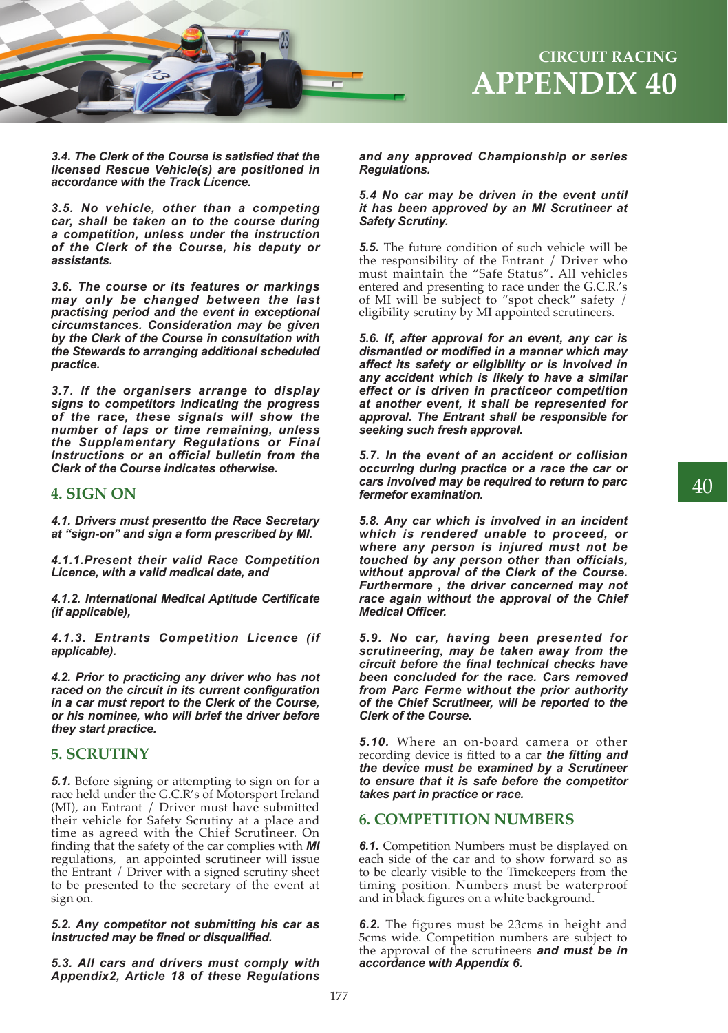

*3.4. The Clerk of the Course is satisfied that the licensed Rescue Vehicle(s) are positioned in accordance with the Track Licence.*

*3.5. No vehicle, other than a competing car, shall be taken on to the course during a competition, unless under the instruction of the Clerk of the Course, his deputy or assistants.*

*3.6. The course or its features or markings may only be changed between the last practising period and the event in exceptional circumstances. Consideration may be given by the Clerk of the Course in consultation with the Stewards to arranging additional scheduled practice.*

*3.7. If the organisers arrange to display signs to competitors indicating the progress of the race, these signals will show the number of laps or time remaining, unless the Supplementary Regulations or Final Instructions or an official bulletin from the Clerk of the Course indicates otherwise.* 

## **4. SIGN ON**

*4.1. Drivers must presentto the Race Secretary at "sign-on" and sign a form prescribed by MI.*

*4.1.1.Present their valid Race Competition Licence, with a valid medical date, and*

*4.1.2. International Medical Aptitude Certificate (if applicable),*

*4.1.3. Entrants Competition Licence (if applicable).*

*4.2. Prior to practicing any driver who has not raced on the circuit in its current configuration in a car must report to the Clerk of the Course, or his nominee, who will brief the driver before they start practice.*

## **5. SCRUTINY**

*5.1.* Before signing or attempting to sign on for a race held under the G.C.R's of Motorsport Ireland (MI), an Entrant / Driver must have submitted their vehicle for Safety Scrutiny at a place and time as agreed with the Chief Scrutineer. On finding that the safety of the car complies with *MI*  regulations, an appointed scrutineer will issue the Entrant / Driver with a signed scrutiny sheet to be presented to the secretary of the event at sign on.

#### *5.2. Any competitor not submitting his car as instructed may be fined or disqualified.*

*5.3. All cars and drivers must comply with Appendix2, Article 18 of these Regulations* 

#### *and any approved Championship or series Regulations.*

#### *5.4 No car may be driven in the event until it has been approved by an MI Scrutineer at Safety Scrutiny.*

*5.5.* The future condition of such vehicle will be the responsibility of the Entrant / Driver who must maintain the "Safe Status". All vehicles entered and presenting to race under the G.C.R.'s of MI will be subject to "spot check" safety / eligibility scrutiny by MI appointed scrutineers.

*5.6. If, after approval for an event, any car is dismantled or modified in a manner which may affect its safety or eligibility or is involved in any accident which is likely to have a similar effect or is driven in practiceor competition at another event, it shall be represented for approval. The Entrant shall be responsible for seeking such fresh approval.*

*5.7. In the event of an accident or collision occurring during practice or a race the car or cars involved may be required to return to parc fermefor examination.* 

*5.8. Any car which is involved in an incident which is rendered unable to proceed, or where any person is injured must not be touched by any person other than officials, without approval of the Clerk of the Course. Furthermore , the driver concerned may not race again without the approval of the Chief Medical Officer.*

*5.9. No car, having been presented for scrutineering, may be taken away from the circuit before the final technical checks have been concluded for the race. Cars removed from Parc Ferme without the prior authority of the Chief Scrutineer, will be reported to the Clerk of the Course.* 

*5.10.* Where an on-board camera or other recording device is fitted to a car *the fitting and the device must be examined by a Scrutineer to ensure that it is safe before the competitor takes part in practice or race.*

### **6. COMPETITION NUMBERS**

**6.1.** Competition Numbers must be displayed on each side of the car and to show forward so as to be clearly visible to the Timekeepers from the timing position. Numbers must be waterproof and in black figures on a white background.

*6.2.* The figures must be 23cms in height and 5cms wide. Competition numbers are subject to the approval of the scrutineers *and must be in accordance with Appendix 6.*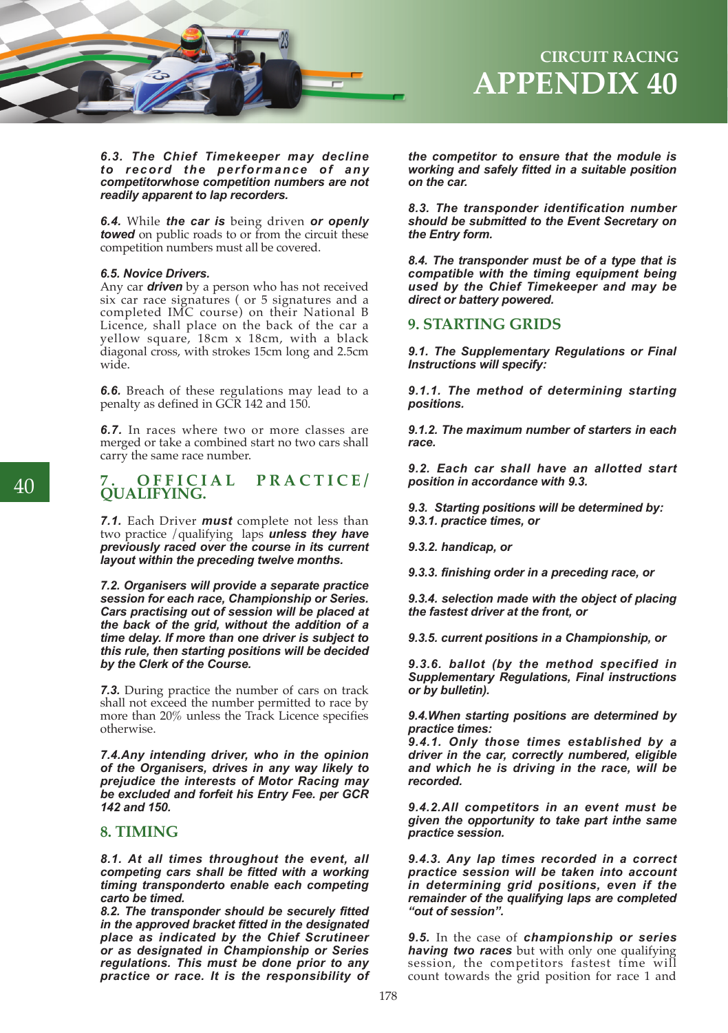

## **APPENDIX 40 CIRCUIT RACING**

*6.3. The Chief Timekeeper may decline to record the performance of any competitorwhose competition numbers are not readily apparent to lap recorders.*

*6.4.* While *the car is* being driven *or openly towed* on public roads to or from the circuit these competition numbers must all be covered.

#### *6.5. Novice Drivers.*

Any car *driven* by a person who has not received six car race signatures ( or 5 signatures and a completed IMC course) on their National B Licence, shall place on the back of the car a yellow square, 18cm x 18cm, with a black diagonal cross, with strokes 15cm long and 2.5cm wide.

**6.6.** Breach of these regulations may lead to a penalty as defined in GCR 142 and 150.

*6.7.* In races where two or more classes are merged or take a combined start no two cars shall carry the same race number.

# **7. OFFICIAL PRACTICE/ QUALIFYING.**

*7.1.* Each Driver *must* complete not less than two practice /qualifying laps *unless they have previously raced over the course in its current layout within the preceding twelve months.*

*7.2. Organisers will provide a separate practice session for each race, Championship or Series. Cars practising out of session will be placed at the back of the grid, without the addition of a time delay. If more than one driver is subject to this rule, then starting positions will be decided by the Clerk of the Course.* 

*7.3.* During practice the number of cars on track shall not exceed the number permitted to race by more than 20% unless the Track Licence specifies otherwise.

*7.4.Any intending driver, who in the opinion of the Organisers, drives in any way likely to prejudice the interests of Motor Racing may be excluded and forfeit his Entry Fee. per GCR 142 and 150.* 

### **8. TIMING**

*8.1. At all times throughout the event, all competing cars shall be fitted with a working timing transponderto enable each competing carto be timed.*

*8.2. The transponder should be securely fitted in the approved bracket fitted in the designated place as indicated by the Chief Scrutineer or as designated in Championship or Series regulations. This must be done prior to any practice or race. It is the responsibility of*  *the competitor to ensure that the module is working and safely fitted in a suitable position on the car.* 

*8.3. The transponder identification number should be submitted to the Event Secretary on the Entry form.*

*8.4. The transponder must be of a type that is compatible with the timing equipment being used by the Chief Timekeeper and may be direct or battery powered.*

## **9. STARTING GRIDS**

*9.1. The Supplementary Regulations or Final Instructions will specify:*

*9.1.1. The method of determining starting positions.*

*9.1.2. The maximum number of starters in each race.*

*9.2. Each car shall have an allotted start position in accordance with 9.3.*

*9.3. Starting positions will be determined by: 9.3.1. practice times, or*

*9.3.2. handicap, or*

*9.3.3. finishing order in a preceding race, or*

*9.3.4. selection made with the object of placing the fastest driver at the front, or*

*9.3.5. current positions in a Championship, or*

*9.3.6. ballot (by the method specified in Supplementary Regulations, Final instructions or by bulletin).*

*9.4.When starting positions are determined by practice times:*

*9.4.1. Only those times established by a driver in the car, correctly numbered, eligible and which he is driving in the race, will be recorded.*

*9.4.2.All competitors in an event must be given the opportunity to take part inthe same practice session.*

*9.4.3. Any lap times recorded in a correct practice session will be taken into account in determining grid positions, even if the remainder of the qualifying laps are completed "out of session".* 

*9.5.* In the case of *championship or series having two races* but with only one qualifying session, the competitors fastest time will count towards the grid position for race 1 and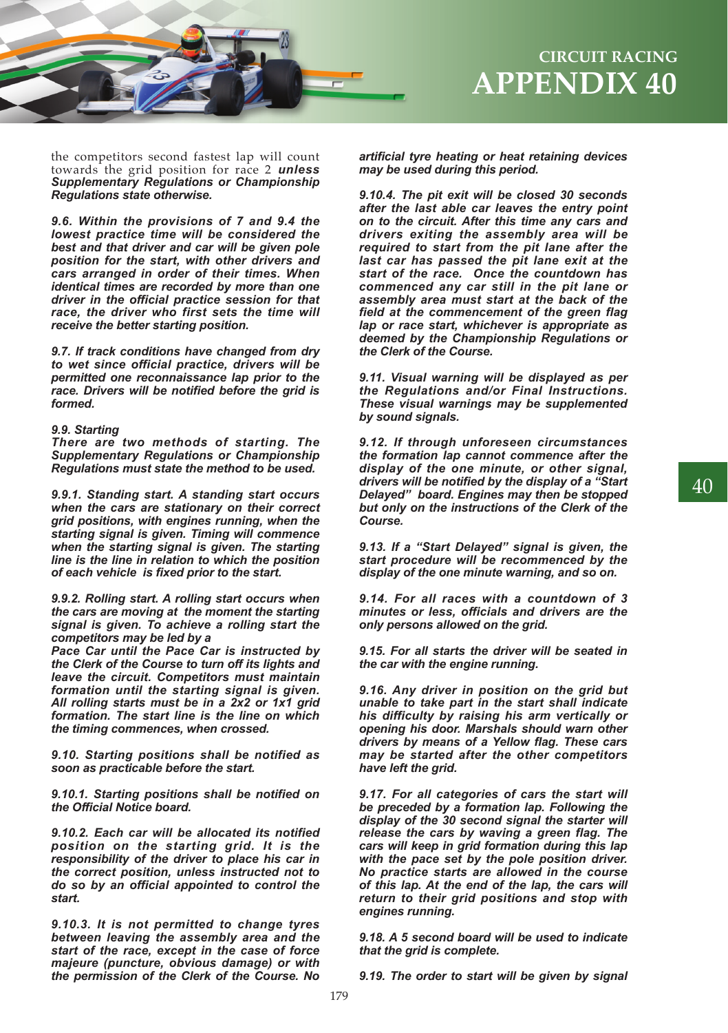

the competitors second fastest lap will count towards the grid position for race 2 *unless Supplementary Regulations or Championship Regulations state otherwise.* 

*9.6. Within the provisions of 7 and 9.4 the lowest practice time will be considered the best and that driver and car will be given pole position for the start, with other drivers and cars arranged in order of their times. When identical times are recorded by more than one driver in the official practice session for that race, the driver who first sets the time will receive the better starting position.* 

*9.7. If track conditions have changed from dry to wet since official practice, drivers will be permitted one reconnaissance lap prior to the race. Drivers will be notified before the grid is formed.*

#### *9.9. Starting*

*There are two methods of starting. The Supplementary Regulations or Championship Regulations must state the method to be used.* 

*9.9.1. Standing start. A standing start occurs when the cars are stationary on their correct grid positions, with engines running, when the starting signal is given. Timing will commence when the starting signal is given. The starting line is the line in relation to which the position of each vehicle is fixed prior to the start.*

*9.9.2. Rolling start. A rolling start occurs when the cars are moving at the moment the starting signal is given. To achieve a rolling start the competitors may be led by a* 

*Pace Car until the Pace Car is instructed by the Clerk of the Course to turn off its lights and leave the circuit. Competitors must maintain formation until the starting signal is given. All rolling starts must be in a 2x2 or 1x1 grid formation. The start line is the line on which the timing commences, when crossed.* 

*9.10. Starting positions shall be notified as soon as practicable before the start.*

*9.10.1. Starting positions shall be notified on the Official Notice board.*

*9.10.2. Each car will be allocated its notified position on the starting grid. It is the responsibility of the driver to place his car in the correct position, unless instructed not to do so by an official appointed to control the start.*

*9.10.3. It is not permitted to change tyres between leaving the assembly area and the start of the race, except in the case of force majeure (puncture, obvious damage) or with the permission of the Clerk of the Course. No*  *artificial tyre heating or heat retaining devices may be used during this period.*

*9.10.4. The pit exit will be closed 30 seconds after the last able car leaves the entry point on to the circuit. After this time any cars and drivers exiting the assembly area will be required to start from the pit lane after the last car has passed the pit lane exit at the start of the race. Once the countdown has commenced any car still in the pit lane or assembly area must start at the back of the field at the commencement of the green flag lap or race start, whichever is appropriate as deemed by the Championship Regulations or the Clerk of the Course.* 

*9.11. Visual warning will be displayed as per the Regulations and/or Final Instructions. These visual warnings may be supplemented by sound signals.*

*9.12. If through unforeseen circumstances the formation lap cannot commence after the display of the one minute, or other signal, drivers will be notified by the display of a "Start Delayed" board. Engines may then be stopped but only on the instructions of the Clerk of the Course.*

*9.13. If a "Start Delayed" signal is given, the start procedure will be recommenced by the display of the one minute warning, and so on.*

*9.14. For all races with a countdown of 3 minutes or less, officials and drivers are the only persons allowed on the grid.*

*9.15. For all starts the driver will be seated in the car with the engine running.*

*9.16. Any driver in position on the grid but unable to take part in the start shall indicate his difficulty by raising his arm vertically or opening his door. Marshals should warn other drivers by means of a Yellow flag. These cars may be started after the other competitors have left the grid.*

*9.17. For all categories of cars the start will be preceded by a formation lap. Following the display of the 30 second signal the starter will release the cars by waving a green flag. The cars will keep in grid formation during this lap with the pace set by the pole position driver. No practice starts are allowed in the course of this lap. At the end of the lap, the cars will return to their grid positions and stop with engines running.* 

*9.18. A 5 second board will be used to indicate that the grid is complete.*

*9.19. The order to start will be given by signal* 

40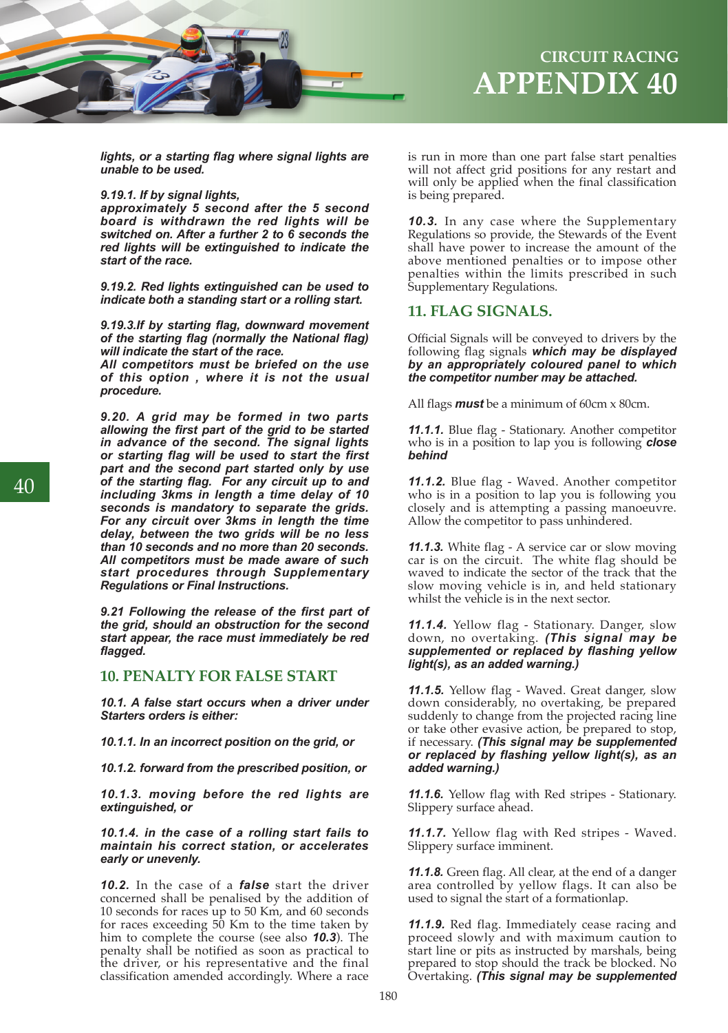

## **APPENDIX 40 CIRCUIT RACING**

*lights, or a starting flag where signal lights are unable to be used.*

#### *9.19.1. If by signal lights,*

*approximately 5 second after the 5 second board is withdrawn the red lights will be switched on. After a further 2 to 6 seconds the red lights will be extinguished to indicate the start of the race.* 

*9.19.2. Red lights extinguished can be used to indicate both a standing start or a rolling start.*

*9.19.3.If by starting flag, downward movement of the starting flag (normally the National flag) will indicate the start of the race.* 

*All competitors must be briefed on the use of this option , where it is not the usual procedure.*

*9.20. A grid may be formed in two parts allowing the first part of the grid to be started in advance of the second. The signal lights or starting flag will be used to start the first part and the second part started only by use of the starting flag. For any circuit up to and including 3kms in length a time delay of 10 seconds is mandatory to separate the grids. For any circuit over 3kms in length the time delay, between the two grids will be no less than 10 seconds and no more than 20 seconds. All competitors must be made aware of such start procedures through Supplementary Regulations or Final Instructions.* 

*9.21 Following the release of the first part of the grid, should an obstruction for the second start appear, the race must immediately be red flagged.* 

## **10. PENALTY FOR FALSE START**

*10.1. A false start occurs when a driver under Starters orders is either:*

*10.1.1. In an incorrect position on the grid, or*

*10.1.2. forward from the prescribed position, or*

*10.1.3. moving before the red lights are extinguished, or*

*10.1.4. in the case of a rolling start fails to maintain his correct station, or accelerates early or unevenly.* 

*10.2.* In the case of a *false* start the driver concerned shall be penalised by the addition of 10 seconds for races up to 50 Km, and 60 seconds for races exceeding 50 Km to the time taken by him to complete the course (see also *10.3*). The penalty shall be notified as soon as practical to the driver, or his representative and the final classification amended accordingly. Where a race

is run in more than one part false start penalties will not affect grid positions for any restart and will only be applied when the final classification is being prepared.

*10.3.* In any case where the Supplementary Regulations so provide, the Stewards of the Event shall have power to increase the amount of the above mentioned penalties or to impose other penalties within the limits prescribed in such Supplementary Regulations.

## **11. FLAG SIGNALS.**

Official Signals will be conveyed to drivers by the following flag signals *which may be displayed by an appropriately coloured panel to which the competitor number may be attached.* 

All flags *must* be a minimum of 60cm x 80cm.

*11.1.1.* Blue flag - Stationary. Another competitor who is in a position to lap you is following *close behind*

*11.1.2.* Blue flag - Waved. Another competitor who is in a position to lap you is following you closely and is attempting a passing manoeuvre. Allow the competitor to pass unhindered.

*11.1.3.* White flag - A service car or slow moving car is on the circuit. The white flag should be waved to indicate the sector of the track that the slow moving vehicle is in, and held stationary whilst the vehicle is in the next sector.

#### *11.1.4.* Yellow flag - Stationary. Danger, slow down, no overtaking. *(This signal may be supplemented or replaced by flashing yellow light(s), as an added warning.)*

*11.1.5.* Yellow flag - Waved. Great danger, slow down considerably, no overtaking, be prepared suddenly to change from the projected racing line or take other evasive action, be prepared to stop, if necessary. *(This signal may be supplemented or replaced by flashing yellow light(s), as an added warning.)*

*11.1.6.* Yellow flag with Red stripes - Stationary. Slippery surface ahead.

*11.1.7.* Yellow flag with Red stripes - Waved. Slippery surface imminent.

*11.1.8.* Green flag. All clear, at the end of a danger area controlled by yellow flags. It can also be used to signal the start of a formationlap.

*11.1.9.* Red flag. Immediately cease racing and proceed slowly and with maximum caution to start line or pits as instructed by marshals, being prepared to stop should the track be blocked. No Overtaking. *(This signal may be supplemented*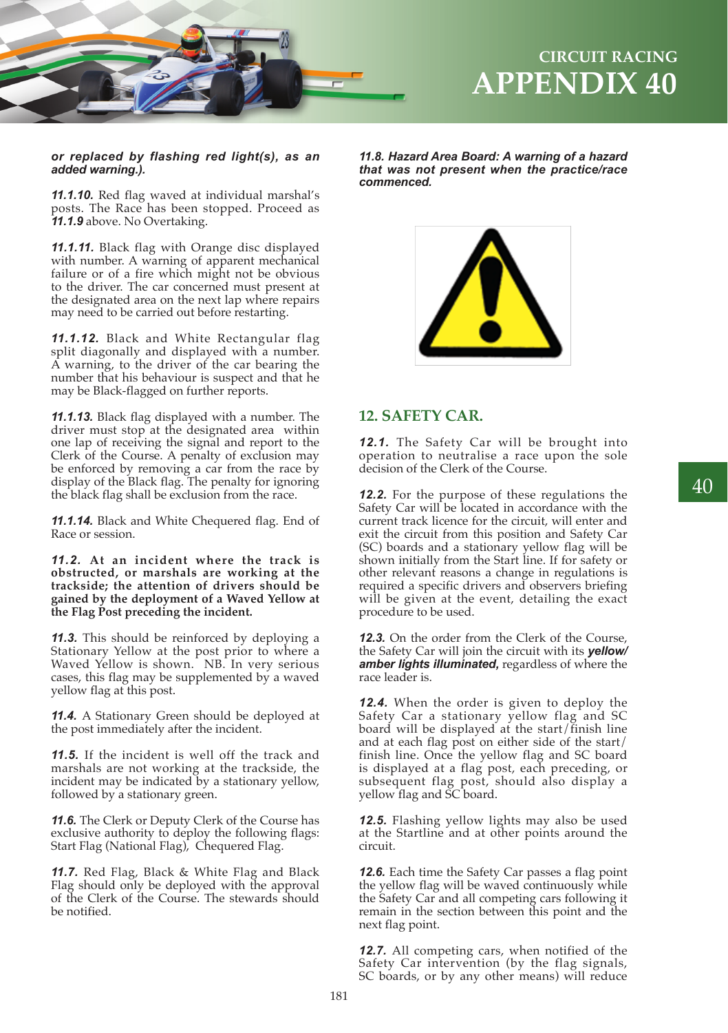

#### *or replaced by flashing red light(s), as an added warning.).*

*11.1.10.* Red flag waved at individual marshal's posts. The Race has been stopped. Proceed as *11.1.9* above. No Overtaking.

*11.1.11.* Black flag with Orange disc displayed with number. A warning of apparent mechanical failure or of a fire which might not be obvious to the driver. The car concerned must present at the designated area on the next lap where repairs may need to be carried out before restarting.

*11.1.12.* Black and White Rectangular flag split diagonally and displayed with a number. A warning, to the driver of the car bearing the number that his behaviour is suspect and that he may be Black-flagged on further reports.

*11.1.13.* Black flag displayed with a number. The driver must stop at the designated area within one lap of receiving the signal and report to the Clerk of the Course. A penalty of exclusion may be enforced by removing a car from the race by display of the Black flag. The penalty for ignoring the black flag shall be exclusion from the race.

*11.1.14.* Black and White Chequered flag. End of Race or session.

*11.2.* **At an incident where the track is obstructed, or marshals are working at the trackside; the attention of drivers should be gained by the deployment of a Waved Yellow at the Flag Post preceding the incident.** 

*11.3.* This should be reinforced by deploying a Stationary Yellow at the post prior to where a Waved Yellow is shown. NB. In very serious cases, this flag may be supplemented by a waved yellow flag at this post.

*11.4.* A Stationary Green should be deployed at the post immediately after the incident.

*11.5.* If the incident is well off the track and marshals are not working at the trackside, the incident may be indicated by a stationary yellow, followed by a stationary green.

*11.6.* The Clerk or Deputy Clerk of the Course has exclusive authority to deploy the following flags: Start Flag (National Flag), Chequered Flag.

*11.7.* Red Flag, Black & White Flag and Black Flag should only be deployed with the approval of the Clerk of the Course. The stewards should be notified.

*11.8. Hazard Area Board: A warning of a hazard that was not present when the practice/race commenced.*



## **12. SAFETY CAR.**

*12.1.* The Safety Car will be brought into operation to neutralise a race upon the sole decision of the Clerk of the Course.

**12.2.** For the purpose of these regulations the Safety Car will be located in accordance with the current track licence for the circuit, will enter and exit the circuit from this position and Safety Car (SC) boards and a stationary yellow flag will be shown initially from the Start line. If for safety or other relevant reasons a change in regulations is required a specific drivers and observers briefing will be given at the event, detailing the exact procedure to be used.

*12.3.* On the order from the Clerk of the Course, the Safety Car will join the circuit with its *yellow/ amber lights illuminated,* regardless of where the race leader is.

*12.4.* When the order is given to deploy the Safety Car a stationary yellow flag and SC board will be displayed at the start/finish line and at each flag post on either side of the start/ finish line. Once the yellow flag and SC board is displayed at a flag post, each preceding, or subsequent flag post, should also display a yellow flag and SC board.

*12.5.* Flashing yellow lights may also be used at the Startline and at other points around the circuit.

*12.6.* Each time the Safety Car passes a flag point the yellow flag will be waved continuously while the Safety Car and all competing cars following it remain in the section between this point and the next flag point.

*12.7.* All competing cars, when notified of the Safety Car intervention (by the flag signals, SC boards, or by any other means) will reduce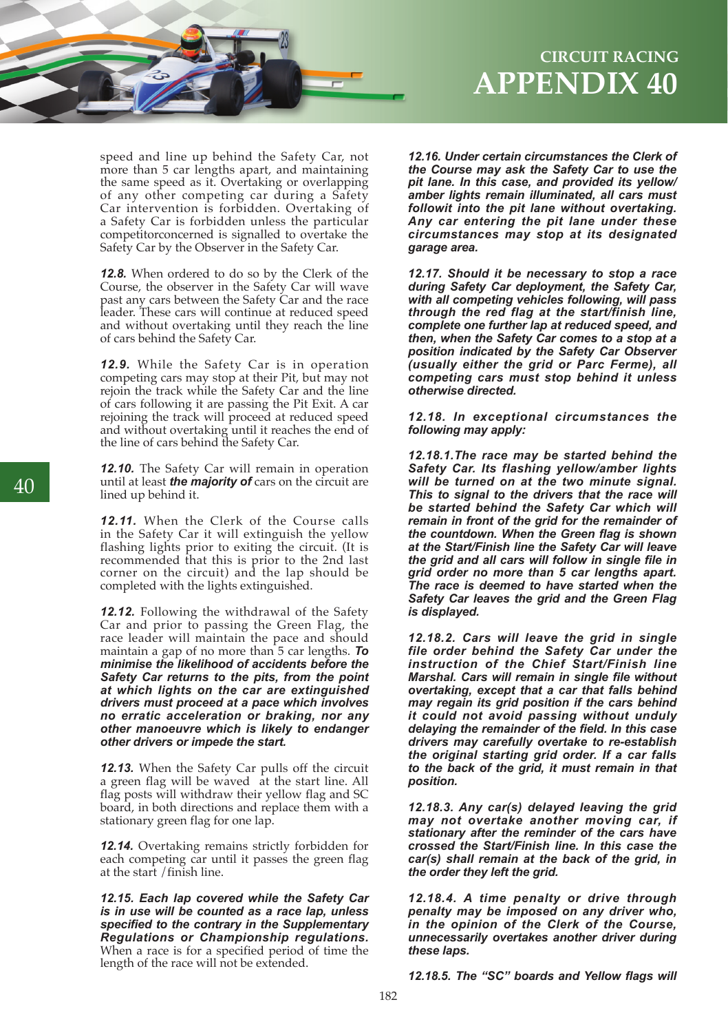

speed and line up behind the Safety Car, not more than 5 car lengths apart, and maintaining the same speed as it. Overtaking or overlapping of any other competing car during a Safety Car intervention is forbidden. Overtaking of a Safety Car is forbidden unless the particular competitorconcerned is signalled to overtake the Safety Car by the Observer in the Safety Car.

*12.8.* When ordered to do so by the Clerk of the Course, the observer in the Safety Car will wave past any cars between the Safety Car and the race leader. These cars will continue at reduced speed and without overtaking until they reach the line of cars behind the Safety Car.

*12.9.* While the Safety Car is in operation competing cars may stop at their Pit, but may not rejoin the track while the Safety Car and the line of cars following it are passing the Pit Exit. A car rejoining the track will proceed at reduced speed and without overtaking until it reaches the end of the line of cars behind the Safety Car.

*12.10.* The Safety Car will remain in operation until at least *the majority of* cars on the circuit are lined up behind it.

*12.11.* When the Clerk of the Course calls in the Safety Car it will extinguish the yellow flashing lights prior to exiting the circuit. (It is recommended that this is prior to the 2nd last corner on the circuit) and the lap should be completed with the lights extinguished.

*12.12.* Following the withdrawal of the Safety Car and prior to passing the Green Flag, the race leader will maintain the pace and should maintain a gap of no more than 5 car lengths. *To minimise the likelihood of accidents before the Safety Car returns to the pits, from the point at which lights on the car are extinguished drivers must proceed at a pace which involves no erratic acceleration or braking, nor any other manoeuvre which is likely to endanger other drivers or impede the start.* 

*12.13.* When the Safety Car pulls off the circuit a green flag will be waved at the start line. All flag posts will withdraw their yellow flag and SC board, in both directions and replace them with a stationary green flag for one lap.

*12.14.* Overtaking remains strictly forbidden for each competing car until it passes the green flag at the start /finish line.

*12.15. Each lap covered while the Safety Car is in use will be counted as a race lap, unless specified to the contrary in the Supplementary Regulations or Championship regulations.*  When a race is for a specified period of time the length of the race will not be extended.

# **APPENDIX 40 CIRCUIT RACING**

*12.16. Under certain circumstances the Clerk of the Course may ask the Safety Car to use the pit lane. In this case, and provided its yellow/ amber lights remain illuminated, all cars must followit into the pit lane without overtaking. Any car entering the pit lane under these circumstances may stop at its designated garage area.*

*12.17. Should it be necessary to stop a race during Safety Car deployment, the Safety Car, with all competing vehicles following, will pass through the red flag at the start/finish line, complete one further lap at reduced speed, and then, when the Safety Car comes to a stop at a position indicated by the Safety Car Observer (usually either the grid or Parc Ferme), all competing cars must stop behind it unless otherwise directed.*

*12.18. In exceptional circumstances the following may apply:* 

*12.18.1.The race may be started behind the Safety Car. Its flashing yellow/amber lights will be turned on at the two minute signal. This to signal to the drivers that the race will be started behind the Safety Car which will remain in front of the grid for the remainder of the countdown. When the Green flag is shown at the Start/Finish line the Safety Car will leave the grid and all cars will follow in single file in grid order no more than 5 car lengths apart. The race is deemed to have started when the Safety Car leaves the grid and the Green Flag is displayed.*

*12.18.2. Cars will leave the grid in single file order behind the Safety Car under the instruction of the Chief Start/Finish line Marshal. Cars will remain in single file without overtaking, except that a car that falls behind may regain its grid position if the cars behind it could not avoid passing without unduly delaying the remainder of the field. In this case drivers may carefully overtake to re-establish the original starting grid order. If a car falls to the back of the grid, it must remain in that position.*

*12.18.3. Any car(s) delayed leaving the grid may not overtake another moving car, if stationary after the reminder of the cars have crossed the Start/Finish line. In this case the car(s) shall remain at the back of the grid, in the order they left the grid.* 

*12.18.4. A time penalty or drive through penalty may be imposed on any driver who, in the opinion of the Clerk of the Course, unnecessarily overtakes another driver during these laps.*

*12.18.5. The "SC" boards and Yellow flags will*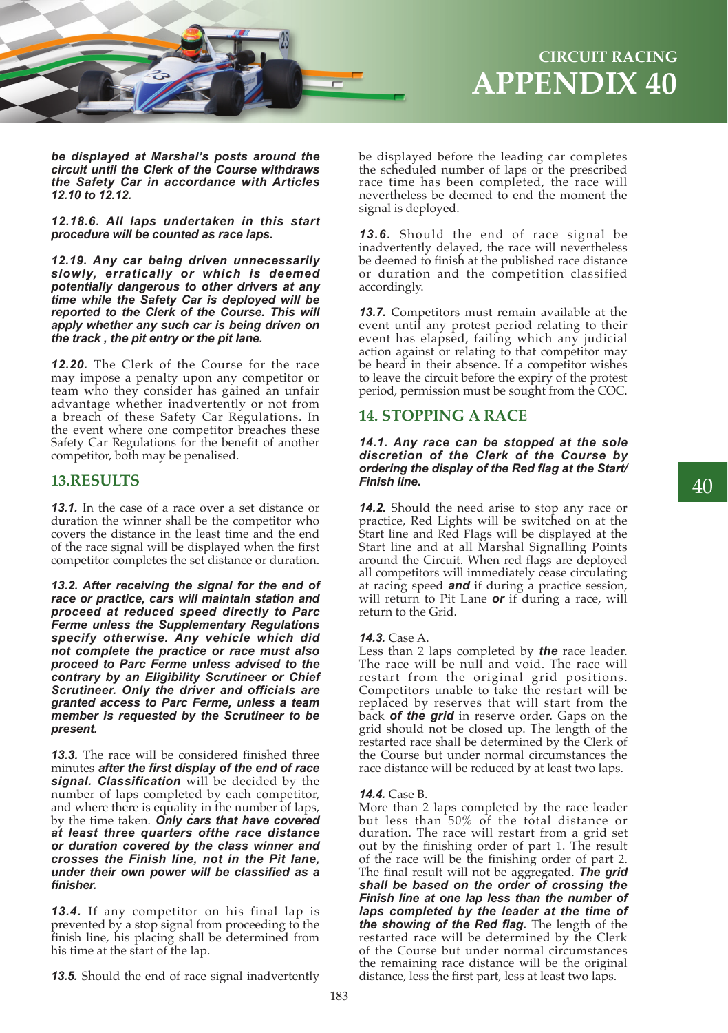

*be displayed at Marshal's posts around the circuit until the Clerk of the Course withdraws the Safety Car in accordance with Articles 12.10 to 12.12.*

*12.18.6. All laps undertaken in this start procedure will be counted as race laps.*

*12.19. Any car being driven unnecessarily slowly, erratically or which is deemed potentially dangerous to other drivers at any time while the Safety Car is deployed will be reported to the Clerk of the Course. This will apply whether any such car is being driven on the track , the pit entry or the pit lane.*

*12.20.* The Clerk of the Course for the race may impose a penalty upon any competitor or team who they consider has gained an unfair advantage whether inadvertently or not from a breach of these Safety Car Regulations. In the event where one competitor breaches these Safety Car Regulations for the benefit of another competitor, both may be penalised.

## **13.RESULTS**

*13.1.* In the case of a race over a set distance or duration the winner shall be the competitor who covers the distance in the least time and the end of the race signal will be displayed when the first competitor completes the set distance or duration.

*13.2. After receiving the signal for the end of race or practice, cars will maintain station and proceed at reduced speed directly to Parc Ferme unless the Supplementary Regulations specify otherwise. Any vehicle which did not complete the practice or race must also proceed to Parc Ferme unless advised to the contrary by an Eligibility Scrutineer or Chief Scrutineer. Only the driver and officials are granted access to Parc Ferme, unless a team member is requested by the Scrutineer to be present.* 

*13.3.* The race will be considered finished three minutes *after the first display of the end of race signal. Classification* will be decided by the number of laps completed by each competitor, and where there is equality in the number of laps, by the time taken. *Only cars that have covered at least three quarters ofthe race distance or duration covered by the class winner and crosses the Finish line, not in the Pit lane, under their own power will be classified as a finisher.* 

*13.4.* If any competitor on his final lap is prevented by a stop signal from proceeding to the finish line, his placing shall be determined from his time at the start of the lap.

*13.5.* Should the end of race signal inadvertently

be displayed before the leading car completes the scheduled number of laps or the prescribed race time has been completed, the race will nevertheless be deemed to end the moment the signal is deployed.

*13.6.* Should the end of race signal be inadvertently delayed, the race will nevertheless be deemed to finish at the published race distance or duration and the competition classified accordingly.

*13.7.* Competitors must remain available at the event until any protest period relating to their event has elapsed, failing which any judicial action against or relating to that competitor may be heard in their absence. If a competitor wishes to leave the circuit before the expiry of the protest period, permission must be sought from the COC.

## **14. STOPPING A RACE**

#### *14.1. Any race can be stopped at the sole discretion of the Clerk of the Course by ordering the display of the Red flag at the Start/ Finish line.*

*14.2.* Should the need arise to stop any race or practice, Red Lights will be switched on at the Start line and Red Flags will be displayed at the Start line and at all Marshal Signalling Points around the Circuit. When red flags are deployed all competitors will immediately cease circulating at racing speed *and* if during a practice session, will return to Pit Lane *or* if during a race, will return to the Grid.

#### *14.3.* Case A.

Less than 2 laps completed by *the* race leader. The race will be null and void. The race will restart from the original grid positions. Competitors unable to take the restart will be replaced by reserves that will start from the back *of the grid* in reserve order. Gaps on the grid should not be closed up. The length of the restarted race shall be determined by the Clerk of the Course but under normal circumstances the race distance will be reduced by at least two laps.

#### *14.4.* Case B.

More than 2 laps completed by the race leader but less than 50% of the total distance or duration. The race will restart from a grid set out by the finishing order of part 1. The result of the race will be the finishing order of part 2. The final result will not be aggregated. *The grid shall be based on the order of crossing the Finish line at one lap less than the number of laps completed by the leader at the time of the showing of the Red flag.* The length of the restarted race will be determined by the Clerk of the Course but under normal circumstances the remaining race distance will be the original distance, less the first part, less at least two laps.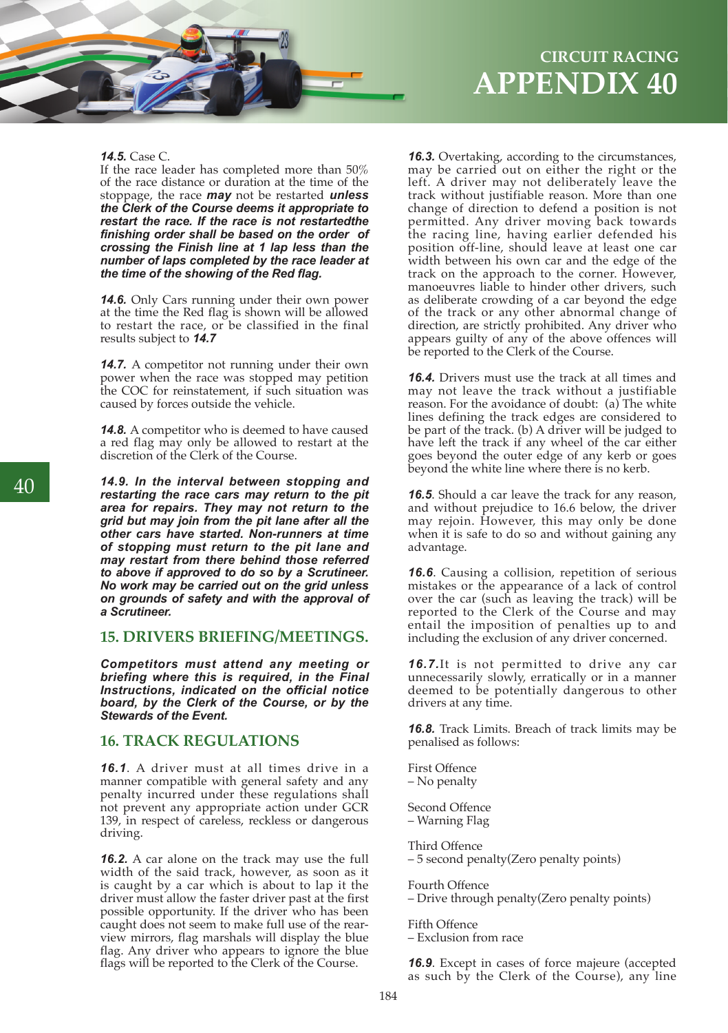

## **APPENDIX 40 CIRCUIT RACING**

#### *14.5.* Case C.

If the race leader has completed more than 50% of the race distance or duration at the time of the stoppage, the race *may* not be restarted *unless the Clerk of the Course deems it appropriate to restart the race. If the race is not restartedthe finishing order shall be based on the order of crossing the Finish line at 1 lap less than the number of laps completed by the race leader at the time of the showing of the Red flag.* 

*14.6.* Only Cars running under their own power at the time the Red flag is shown will be allowed to restart the race, or be classified in the final results subject to *14.7* 

*14.7.* A competitor not running under their own power when the race was stopped may petition the COC for reinstatement, if such situation was caused by forces outside the vehicle.

*14.8.* A competitor who is deemed to have caused a red flag may only be allowed to restart at the discretion of the Clerk of the Course.

*14.9. In the interval between stopping and restarting the race cars may return to the pit area for repairs. They may not return to the grid but may join from the pit lane after all the other cars have started. Non-runners at time of stopping must return to the pit lane and may restart from there behind those referred to above if approved to do so by a Scrutineer. No work may be carried out on the grid unless on grounds of safety and with the approval of a Scrutineer.* 

## **15. DRIVERS BRIEFING/MEETINGS.**

*Competitors must attend any meeting or briefing where this is required, in the Final Instructions, indicated on the official notice board, by the Clerk of the Course, or by the Stewards of the Event.* 

## **16. TRACK REGULATIONS**

*16.1*. A driver must at all times drive in a manner compatible with general safety and any penalty incurred under these regulations shall not prevent any appropriate action under GCR 139, in respect of careless, reckless or dangerous driving.

*16.2.* A car alone on the track may use the full width of the said track, however, as soon as it is caught by a car which is about to lap it the driver must allow the faster driver past at the first possible opportunity. If the driver who has been caught does not seem to make full use of the rearview mirrors, flag marshals will display the blue flag. Any driver who appears to ignore the blue flags will be reported to the Clerk of the Course.

*16.3.* Overtaking, according to the circumstances, may be carried out on either the right or the left. A driver may not deliberately leave the track without justifiable reason. More than one change of direction to defend a position is not permitted. Any driver moving back towards the racing line, having earlier defended his position off-line, should leave at least one car width between his own car and the edge of the track on the approach to the corner. However, manoeuvres liable to hinder other drivers, such as deliberate crowding of a car beyond the edge of the track or any other abnormal change of direction, are strictly prohibited. Any driver who appears guilty of any of the above offences will be reported to the Clerk of the Course.

*16.4.* Drivers must use the track at all times and may not leave the track without a justifiable reason. For the avoidance of doubt: (a) The white lines defining the track edges are considered to be part of the track. (b) A driver will be judged to have left the track if any wheel of the car either goes beyond the outer edge of any kerb or goes beyond the white line where there is no kerb.

*16.5*. Should a car leave the track for any reason, and without prejudice to 16.6 below, the driver may rejoin. However, this may only be done when it is safe to do so and without gaining any advantage.

*16.6*. Causing a collision, repetition of serious mistakes or the appearance of a lack of control over the car (such as leaving the track) will be reported to the Clerk of the Course and may entail the imposition of penalties up to and including the exclusion of any driver concerned.

*16.7.*It is not permitted to drive any car unnecessarily slowly, erratically or in a manner deemed to be potentially dangerous to other drivers at any time.

*16.8.* Track Limits. Breach of track limits may be penalised as follows:

First Offence – No penalty

Second Offence – Warning Flag

Third Offence – 5 second penalty(Zero penalty points)

Fourth Offence – Drive through penalty(Zero penalty points)

Fifth Offence

– Exclusion from race

*16.9*. Except in cases of force majeure (accepted as such by the Clerk of the Course), any line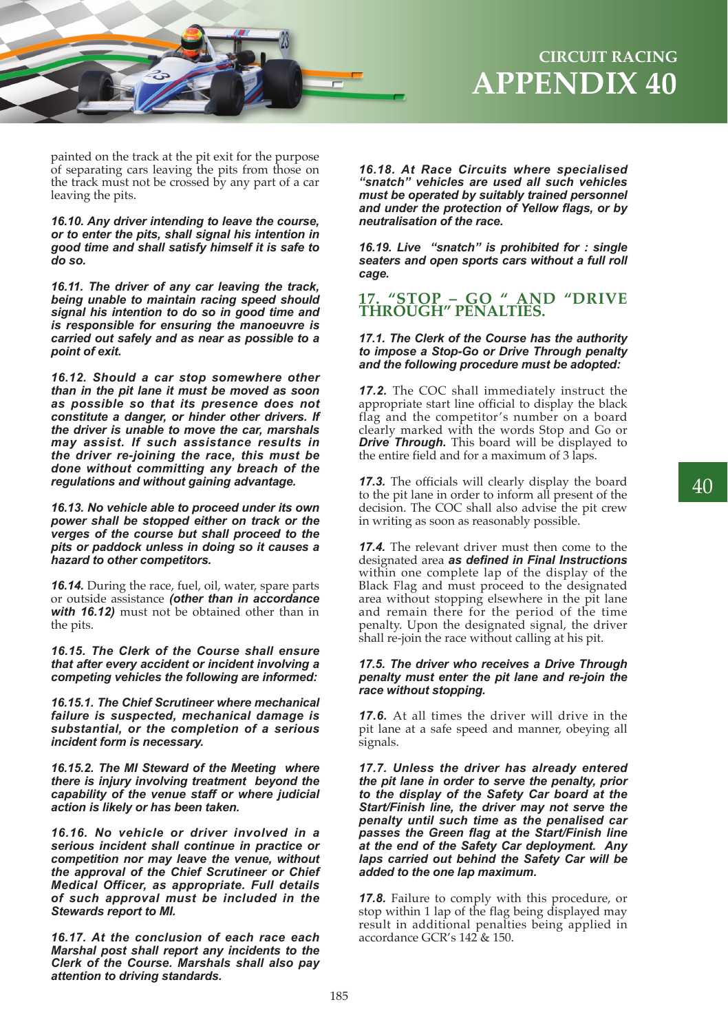

painted on the track at the pit exit for the purpose of separating cars leaving the pits from those on the track must not be crossed by any part of a car leaving the pits.

*16.10. Any driver intending to leave the course, or to enter the pits, shall signal his intention in good time and shall satisfy himself it is safe to do so.*

*16.11. The driver of any car leaving the track, being unable to maintain racing speed should signal his intention to do so in good time and is responsible for ensuring the manoeuvre is carried out safely and as near as possible to a point of exit.*

*16.12. Should a car stop somewhere other than in the pit lane it must be moved as soon as possible so that its presence does not constitute a danger, or hinder other drivers. If the driver is unable to move the car, marshals may assist. If such assistance results in the driver re-joining the race, this must be done without committing any breach of the regulations and without gaining advantage.* 

*16.13. No vehicle able to proceed under its own power shall be stopped either on track or the verges of the course but shall proceed to the pits or paddock unless in doing so it causes a hazard to other competitors.*

*16.14.* During the race, fuel, oil, water, spare parts or outside assistance *(other than in accordance with 16.12)* must not be obtained other than in the pits.

*16.15. The Clerk of the Course shall ensure that after every accident or incident involving a competing vehicles the following are informed:*

*16.15.1. The Chief Scrutineer where mechanical failure is suspected, mechanical damage is substantial, or the completion of a serious incident form is necessary.*

*16.15.2. The MI Steward of the Meeting where there is injury involving treatment beyond the capability of the venue staff or where judicial action is likely or has been taken.*

*16.16. No vehicle or driver involved in a serious incident shall continue in practice or competition nor may leave the venue, without the approval of the Chief Scrutineer or Chief Medical Officer, as appropriate. Full details of such approval must be included in the Stewards report to MI.*

*16.17. At the conclusion of each race each Marshal post shall report any incidents to the Clerk of the Course. Marshals shall also pay attention to driving standards.*

*16.18. At Race Circuits where specialised "snatch" vehicles are used all such vehicles must be operated by suitably trained personnel and under the protection of Yellow flags, or by neutralisation of the race.*

*16.19. Live "snatch" is prohibited for : single seaters and open sports cars without a full roll cage.* 

## **17. "STOP – GO " AND "DRIVE THROUGH" PENALTIES.**

#### *17.1. The Clerk of the Course has the authority to impose a Stop-Go or Drive Through penalty and the following procedure must be adopted:*

*17.2.* The COC shall immediately instruct the appropriate start line official to display the black flag and the competitor's number on a board clearly marked with the words Stop and Go or *Drive Through.* This board will be displayed to the entire field and for a maximum of 3 laps.

*17.3.* The officials will clearly display the board to the pit lane in order to inform all present of the decision. The COC shall also advise the pit crew in writing as soon as reasonably possible.

*17.4.* The relevant driver must then come to the designated area *as defined in Final Instructions*  within one complete lap of the display of the Black Flag and must proceed to the designated area without stopping elsewhere in the pit lane and remain there for the period of the time penalty. Upon the designated signal, the driver shall re-join the race without calling at his pit.

#### *17.5. The driver who receives a Drive Through penalty must enter the pit lane and re-join the race without stopping.*

*17.6.* At all times the driver will drive in the pit lane at a safe speed and manner, obeying all signals.

*17.7. Unless the driver has already entered the pit lane in order to serve the penalty, prior to the display of the Safety Car board at the Start/Finish line, the driver may not serve the penalty until such time as the penalised car passes the Green flag at the Start/Finish line at the end of the Safety Car deployment. Any laps carried out behind the Safety Car will be added to the one lap maximum.* 

*17.8.* Failure to comply with this procedure, or stop within 1 lap of the flag being displayed may result in additional penalties being applied in accordance GCR's 142 & 150.